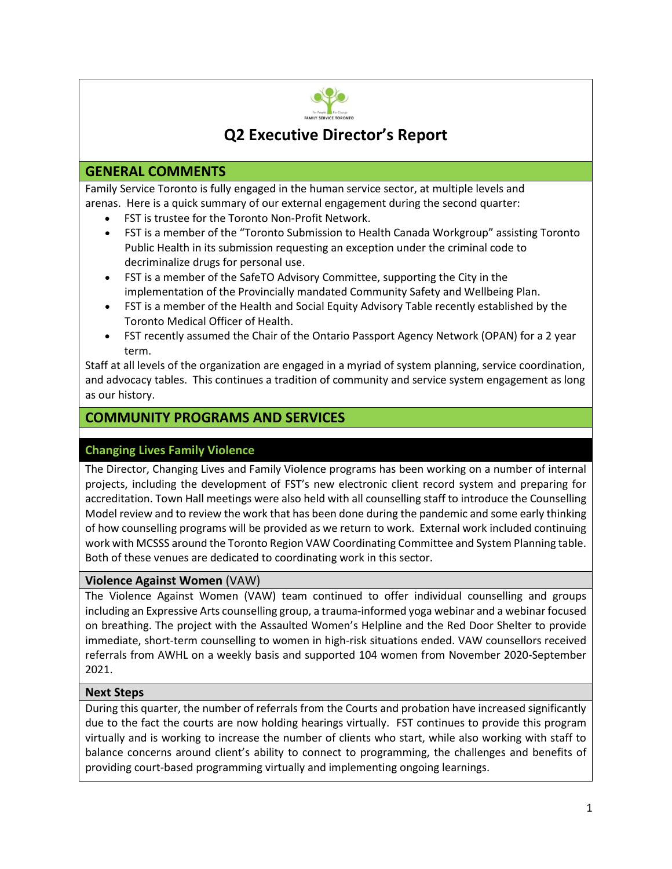

# **Q2 Executive Director's Report**

# **GENERAL COMMENTS**

Family Service Toronto is fully engaged in the human service sector, at multiple levels and arenas. Here is a quick summary of our external engagement during the second quarter:

- FST is trustee for the Toronto Non-Profit Network.
- FST is a member of the "Toronto Submission to Health Canada Workgroup" assisting Toronto Public Health in its submission requesting an exception under the criminal code to decriminalize drugs for personal use.
- FST is a member of the SafeTO Advisory Committee, supporting the City in the implementation of the Provincially mandated Community Safety and Wellbeing Plan.
- FST is a member of the Health and Social Equity Advisory Table recently established by the Toronto Medical Officer of Health.
- FST recently assumed the Chair of the Ontario Passport Agency Network (OPAN) for a 2 year term.

Staff at all levels of the organization are engaged in a myriad of system planning, service coordination, and advocacy tables. This continues a tradition of community and service system engagement as long as our history.

# **COMMUNITY PROGRAMS AND SERVICES**

# **Changing Lives Family Violence**

The Director, Changing Lives and Family Violence programs has been working on a number of internal projects, including the development of FST's new electronic client record system and preparing for accreditation. Town Hall meetings were also held with all counselling staff to introduce the Counselling Model review and to review the work that has been done during the pandemic and some early thinking of how counselling programs will be provided as we return to work. External work included continuing work with MCSSS around the Toronto Region VAW Coordinating Committee and System Planning table. Both of these venues are dedicated to coordinating work in this sector.

# **Violence Against Women** (VAW)

The Violence Against Women (VAW) team continued to offer individual counselling and groups including an Expressive Arts counselling group, a trauma-informed yoga webinar and a webinar focused on breathing. The project with the Assaulted Women's Helpline and the Red Door Shelter to provide immediate, short-term counselling to women in high-risk situations ended. VAW counsellors received referrals from AWHL on a weekly basis and supported 104 women from November 2020-September 2021.

# **Next Steps**

During this quarter, the number of referrals from the Courts and probation have increased significantly due to the fact the courts are now holding hearings virtually. FST continues to provide this program virtually and is working to increase the number of clients who start, while also working with staff to balance concerns around client's ability to connect to programming, the challenges and benefits of providing court-based programming virtually and implementing ongoing learnings.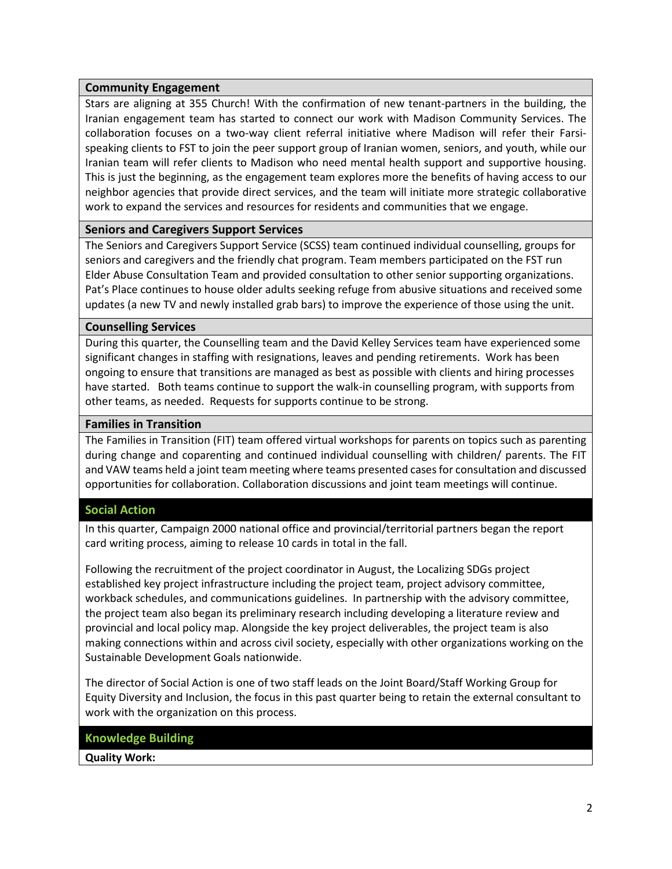#### **Community Engagement**

Stars are aligning at 355 Church! With the confirmation of new tenant-partners in the building, the Iranian engagement team has started to connect our work with Madison Community Services. The collaboration focuses on a two-way client referral initiative where Madison will refer their Farsispeaking clients to FST to join the peer support group of Iranian women, seniors, and youth, while our Iranian team will refer clients to Madison who need mental health support and supportive housing. This is just the beginning, as the engagement team explores more the benefits of having access to our neighbor agencies that provide direct services, and the team will initiate more strategic collaborative work to expand the services and resources for residents and communities that we engage.

# **Seniors and Caregivers Support Services**

The Seniors and Caregivers Support Service (SCSS) team continued individual counselling, groups for seniors and caregivers and the friendly chat program. Team members participated on the FST run Elder Abuse Consultation Team and provided consultation to other senior supporting organizations. Pat's Place continues to house older adults seeking refuge from abusive situations and received some updates (a new TV and newly installed grab bars) to improve the experience of those using the unit.

#### **Counselling Services**

During this quarter, the Counselling team and the David Kelley Services team have experienced some significant changes in staffing with resignations, leaves and pending retirements. Work has been ongoing to ensure that transitions are managed as best as possible with clients and hiring processes have started. Both teams continue to support the walk-in counselling program, with supports from other teams, as needed. Requests for supports continue to be strong.

#### **Families in Transition**

The Families in Transition (FIT) team offered virtual workshops for parents on topics such as parenting during change and coparenting and continued individual counselling with children/ parents. The FIT and VAW teams held a joint team meeting where teams presented cases for consultation and discussed opportunities for collaboration. Collaboration discussions and joint team meetings will continue.

#### **Social Action**

In this quarter, Campaign 2000 national office and provincial/territorial partners began the report card writing process, aiming to release 10 cards in total in the fall.

Following the recruitment of the project coordinator in August, the Localizing SDGs project established key project infrastructure including the project team, project advisory committee, workback schedules, and communications guidelines. In partnership with the advisory committee, the project team also began its preliminary research including developing a literature review and provincial and local policy map. Alongside the key project deliverables, the project team is also making connections within and across civil society, especially with other organizations working on the Sustainable Development Goals nationwide.

The director of Social Action is one of two staff leads on the Joint Board/Staff Working Group for Equity Diversity and Inclusion, the focus in this past quarter being to retain the external consultant to work with the organization on this process.

#### **Knowledge Building**

**Quality Work:**